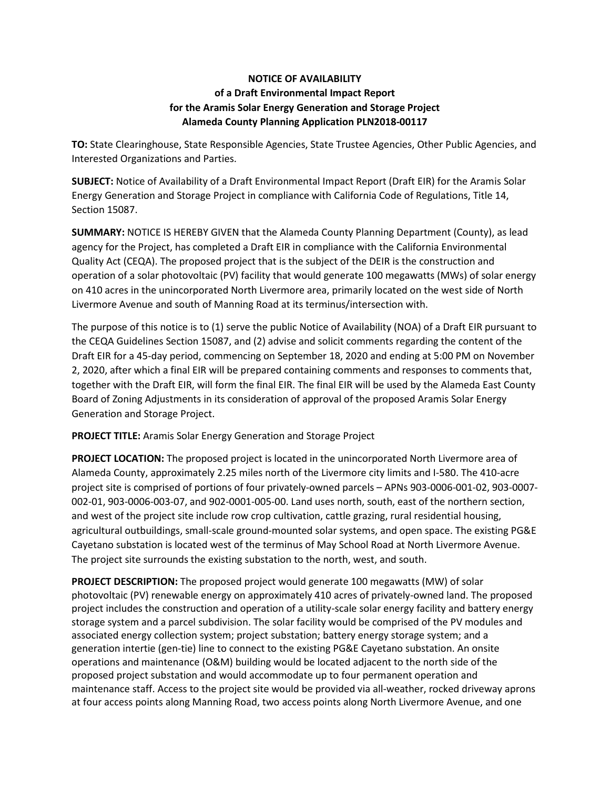## **NOTICE OF AVAILABILITY of a Draft Environmental Impact Report for the Aramis Solar Energy Generation and Storage Project Alameda County Planning Application PLN2018-00117**

**TO:** State Clearinghouse, State Responsible Agencies, State Trustee Agencies, Other Public Agencies, and Interested Organizations and Parties.

**SUBJECT:** Notice of Availability of a Draft Environmental Impact Report (Draft EIR) for the Aramis Solar Energy Generation and Storage Project in compliance with California Code of Regulations, Title 14, Section 15087.

**SUMMARY:** NOTICE IS HEREBY GIVEN that the Alameda County Planning Department (County), as lead agency for the Project, has completed a Draft EIR in compliance with the California Environmental Quality Act (CEQA). The proposed project that is the subject of the DEIR is the construction and operation of a solar photovoltaic (PV) facility that would generate 100 megawatts (MWs) of solar energy on 410 acres in the unincorporated North Livermore area, primarily located on the west side of North Livermore Avenue and south of Manning Road at its terminus/intersection with.

The purpose of this notice is to (1) serve the public Notice of Availability (NOA) of a Draft EIR pursuant to the CEQA Guidelines Section 15087, and (2) advise and solicit comments regarding the content of the Draft EIR for a 45-day period, commencing on September 18, 2020 and ending at 5:00 PM on November 2, 2020, after which a final EIR will be prepared containing comments and responses to comments that, together with the Draft EIR, will form the final EIR. The final EIR will be used by the Alameda East County Board of Zoning Adjustments in its consideration of approval of the proposed Aramis Solar Energy Generation and Storage Project.

**PROJECT TITLE:** Aramis Solar Energy Generation and Storage Project

**PROJECT LOCATION:** The proposed project is located in the unincorporated North Livermore area of Alameda County, approximately 2.25 miles north of the Livermore city limits and I-580. The 410-acre project site is comprised of portions of four privately-owned parcels – APNs 903-0006-001-02, 903-0007- 002-01, 903-0006-003-07, and 902-0001-005-00. Land uses north, south, east of the northern section, and west of the project site include row crop cultivation, cattle grazing, rural residential housing, agricultural outbuildings, small-scale ground-mounted solar systems, and open space. The existing PG&E Cayetano substation is located west of the terminus of May School Road at North Livermore Avenue. The project site surrounds the existing substation to the north, west, and south.

**PROJECT DESCRIPTION:** The proposed project would generate 100 megawatts (MW) of solar photovoltaic (PV) renewable energy on approximately 410 acres of privately-owned land. The proposed project includes the construction and operation of a utility-scale solar energy facility and battery energy storage system and a parcel subdivision. The solar facility would be comprised of the PV modules and associated energy collection system; project substation; battery energy storage system; and a generation intertie (gen-tie) line to connect to the existing PG&E Cayetano substation. An onsite operations and maintenance (O&M) building would be located adjacent to the north side of the proposed project substation and would accommodate up to four permanent operation and maintenance staff. Access to the project site would be provided via all-weather, rocked driveway aprons at four access points along Manning Road, two access points along North Livermore Avenue, and one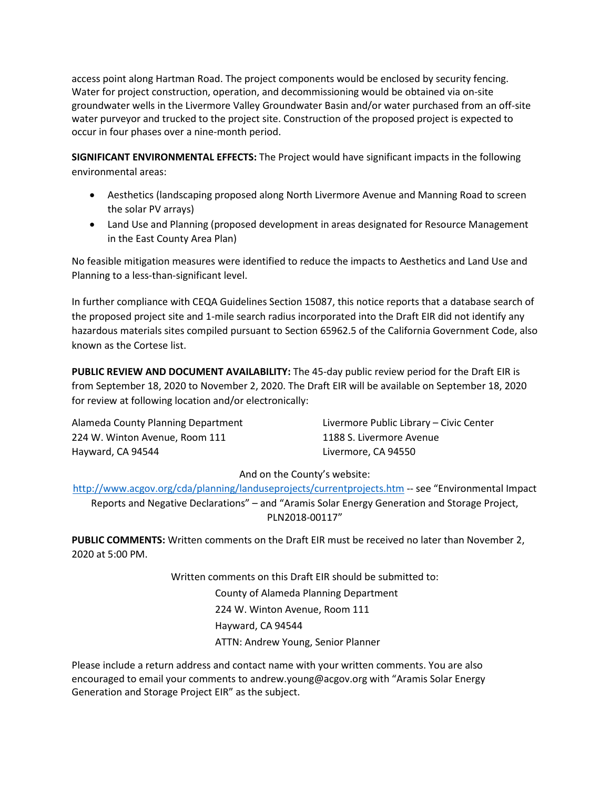access point along Hartman Road. The project components would be enclosed by security fencing. Water for project construction, operation, and decommissioning would be obtained via on-site groundwater wells in the Livermore Valley Groundwater Basin and/or water purchased from an off-site water purveyor and trucked to the project site. Construction of the proposed project is expected to occur in four phases over a nine-month period.

**SIGNIFICANT ENVIRONMENTAL EFFECTS:** The Project would have significant impacts in the following environmental areas:

- Aesthetics (landscaping proposed along North Livermore Avenue and Manning Road to screen the solar PV arrays)
- Land Use and Planning (proposed development in areas designated for Resource Management in the East County Area Plan)

No feasible mitigation measures were identified to reduce the impacts to Aesthetics and Land Use and Planning to a less-than-significant level.

In further compliance with CEQA Guidelines Section 15087, this notice reports that a database search of the proposed project site and 1-mile search radius incorporated into the Draft EIR did not identify any hazardous materials sites compiled pursuant to Section 65962.5 of the California Government Code, also known as the Cortese list.

**PUBLIC REVIEW AND DOCUMENT AVAILABILITY:** The 45-day public review period for the Draft EIR is from September 18, 2020 to November 2, 2020. The Draft EIR will be available on September 18, 2020 for review at following location and/or electronically:

224 W. Winton Avenue, Room 111 1188 S. Livermore Avenue Hayward, CA 94544 Livermore, CA 94550

Alameda County Planning Department Livermore Public Library – Civic Center

## And on the County's website:

<http://www.acgov.org/cda/planning/landuseprojects/currentprojects.htm> -- see "Environmental Impact Reports and Negative Declarations" – and "Aramis Solar Energy Generation and Storage Project, PLN2018-00117"

**PUBLIC COMMENTS:** Written comments on the Draft EIR must be received no later than November 2, 2020 at 5:00 PM.

Written comments on this Draft EIR should be submitted to:

County of Alameda Planning Department 224 W. Winton Avenue, Room 111 Hayward, CA 94544 ATTN: Andrew Young, Senior Planner

Please include a return address and contact name with your written comments. You are also encouraged to email your comments to andrew.young@acgov.org with "Aramis Solar Energy Generation and Storage Project EIR" as the subject.